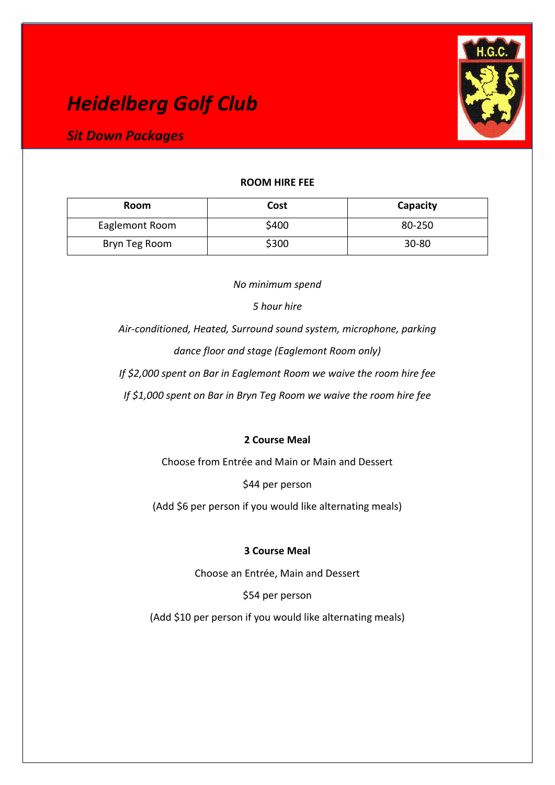# *Heidelberg Golf Club*



# *Sit Down Packages*

## **ROOM HIRE FEE**

| Room           | <b>Cost</b> | Capacity  |
|----------------|-------------|-----------|
| Eaglemont Room | \$400       | 80-250    |
| Bryn Teg Room  | \$300       | $30 - 80$ |

*No minimum spend*

*5 hour hire* 

*Air-conditioned, Heated, Surround sound system, microphone, parking dance floor and stage (Eaglemont Room only)* 

*If \$2,000 spent on Bar in Eaglemont Room we waive the room hire fee*

*If \$1,000 spent on Bar in Bryn Teg Room we waive the room hire fee*

# **2 Course Meal**

Choose from Entrée and Main or Main and Dessert

\$44 per person

(Add \$6 per person if you would like alternating meals)

## **3 Course Meal**

Choose an Entrée, Main and Dessert

\$54 per person

(Add \$10 per person if you would like alternating meals)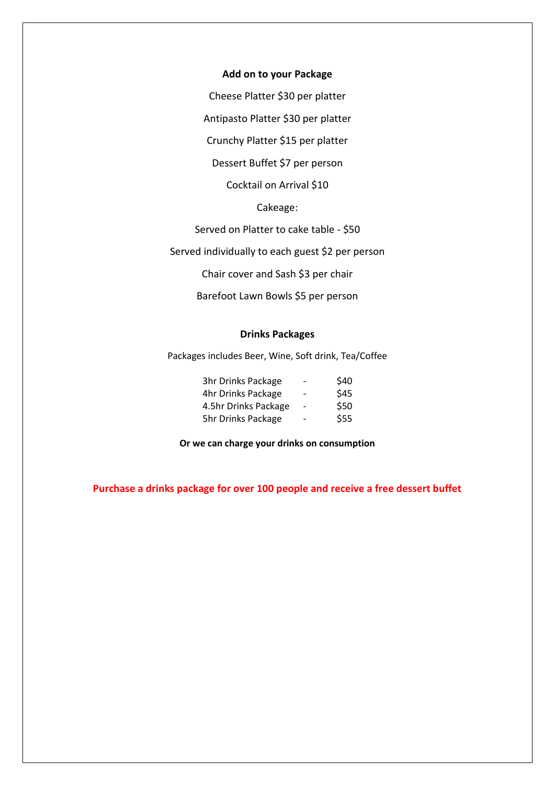#### **Add on to your Package**

Cheese Platter \$30 per platter

Antipasto Platter \$30 per platter

Crunchy Platter \$15 per platter

Dessert Buffet \$7 per person

Cocktail on Arrival \$10

### Cakeage:

Served on Platter to cake table - \$50

Served individually to each guest \$2 per person

Chair cover and Sash \$3 per chair

Barefoot Lawn Bowls \$5 per person

#### **Drinks Packages**

Packages includes Beer, Wine, Soft drink, Tea/Coffee

| 3hr Drinks Package   | $\overline{\phantom{a}}$ | \$40 |
|----------------------|--------------------------|------|
| 4hr Drinks Package   | -                        | \$45 |
| 4.5hr Drinks Package | $\overline{\phantom{a}}$ | \$50 |
| 5hr Drinks Package   |                          | \$55 |

**Or we can charge your drinks on consumption**

**Purchase a drinks package for over 100 people and receive a free dessert buffet**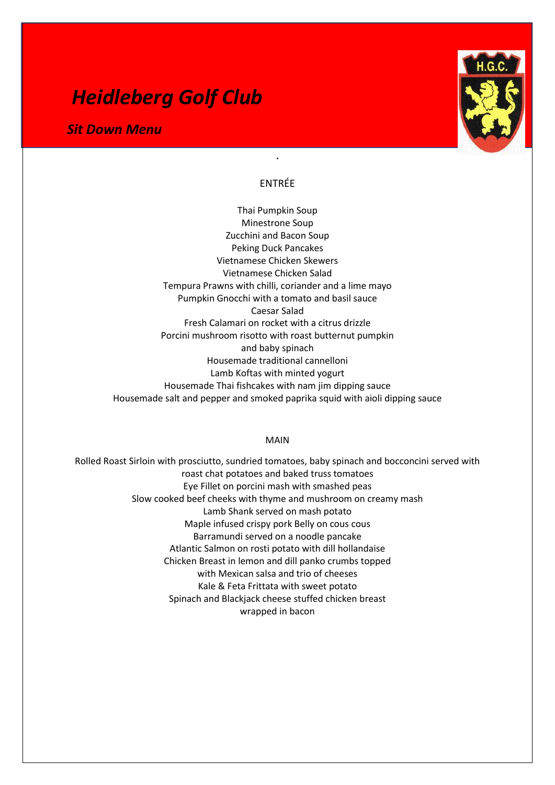# *Heidleberg Golf Club*

*Sit Down Menu* 



## ENTRÉE

.

Thai Pumpkin Soup Minestrone Soup Zucchini and Bacon Soup Peking Duck Pancakes Vietnamese Chicken Skewers Vietnamese Chicken Salad Tempura Prawns with chilli, coriander and a lime mayo Pumpkin Gnocchi with a tomato and basil sauce Caesar Salad Fresh Calamari on rocket with a citrus drizzle Porcini mushroom risotto with roast butternut pumpkin and baby spinach Housemade traditional cannelloni Lamb Koftas with minted yogurt Housemade Thai fishcakes with nam jim dipping sauce Housemade salt and pepper and smoked paprika squid with aioli dipping sauce

#### MAIN

Rolled Roast Sirloin with prosciutto, sundried tomatoes, baby spinach and bocconcini served with roast chat potatoes and baked truss tomatoes Eye Fillet on porcini mash with smashed peas Slow cooked beef cheeks with thyme and mushroom on creamy mash Lamb Shank served on mash potato Maple infused crispy pork Belly on cous cous Barramundi served on a noodle pancake Atlantic Salmon on rosti potato with dill hollandaise Chicken Breast in lemon and dill panko crumbs topped with Mexican salsa and trio of cheeses Kale & Feta Frittata with sweet potato Spinach and Blackjack cheese stuffed chicken breast wrapped in bacon